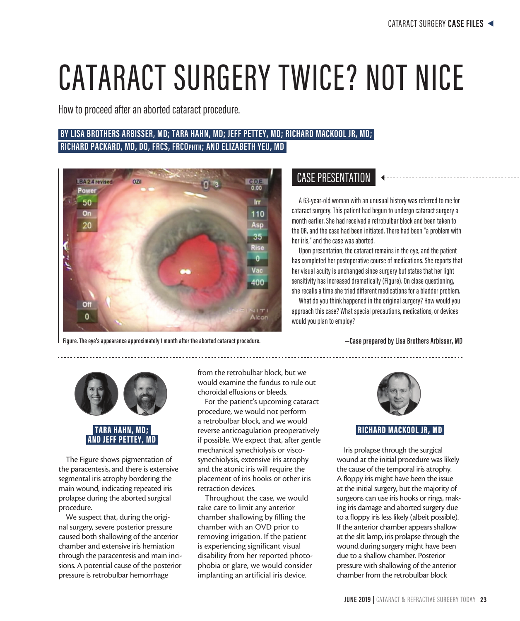# CATARACT SURGERY TWICE? NOT NICE

How to proceed after an aborted cataract procedure.

# **BY LISA BROTHERS ARBISSER, MD; TARA HAHN, MD; JEFF PETTEY, MD; RICHARD MACKOOL JR, MD; RICHARD PACKARD, MD, DO, FRCS, FRCOphth; AND ELIZABETH YEU, MD**



**Figure. The eye's appearance approximately 1 month after the aborted cataract procedure. —Case prepared by Lisa Brothers Arbisser, MD**

# CASE PRESENTATION

A 63-year-old woman with an unusual history was referred to me for cataract surgery. This patient had begun to undergo cataract surgery a month earlier. She had received a retrobulbar block and been taken to the OR, and the case had been initiated. There had been "a problem with her iris," and the case was aborted.

Upon presentation, the cataract remains in the eye, and the patient has completed her postoperative course of medications. She reports that her visual acuity is unchanged since surgery but states that her light sensitivity has increased dramatically (Figure). On close questioning, she recalls a time she tried different medications for a bladder problem.

What do you think happened in the original surgery? How would you approach this case? What special precautions, medications, or devices would you plan to employ?



The Figure shows pigmentation of the paracentesis, and there is extensive segmental iris atrophy bordering the main wound, indicating repeated iris prolapse during the aborted surgical procedure.

We suspect that, during the original surgery, severe posterior pressure caused both shallowing of the anterior chamber and extensive iris herniation through the paracentesis and main incisions. A potential cause of the posterior pressure is retrobulbar hemorrhage

from the retrobulbar block, but we would examine the fundus to rule out choroidal effusions or bleeds.

For the patient's upcoming cataract procedure, we would not perform a retrobulbar block, and we would reverse anticoagulation preoperatively if possible. We expect that, after gentle mechanical synechiolysis or viscosynechiolysis, extensive iris atrophy and the atonic iris will require the placement of iris hooks or other iris retraction devices.

Throughout the case, we would take care to limit any anterior chamber shallowing by filling the chamber with an OVD prior to removing irrigation. If the patient is experiencing significant visual disability from her reported photophobia or glare, we would consider implanting an artificial iris device.



## RICHARD MACKOOL JR, MD

Iris prolapse through the surgical wound at the initial procedure was likely the cause of the temporal iris atrophy. A floppy iris might have been the issue at the initial surgery, but the majority of surgeons can use iris hooks or rings, making iris damage and aborted surgery due to a floppy iris less likely (albeit possible). If the anterior chamber appears shallow at the slit lamp, iris prolapse through the wound during surgery might have been due to a shallow chamber. Posterior pressure with shallowing of the anterior chamber from the retrobulbar block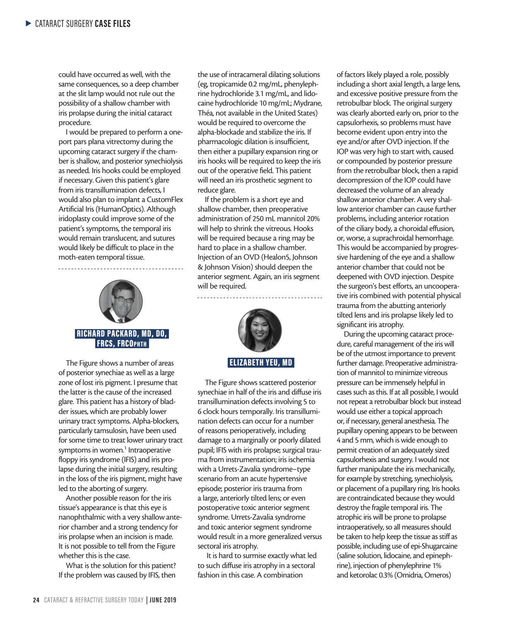could have occurred as well, with the same consequences, so a deep chamber at the slit lamp would not rule out the possibility of a shallow chamber with iris prolapse during the initial cataract procedure.

I would be prepared to perform a oneport pars plana vitrectomy during the upcoming cataract surgery if the chamber is shallow, and posterior synechiolysis as needed. Iris hooks could be employed if necessary. Given this patient's glare from iris transillumination defects, I would also plan to implant a CustomFlex Artificial Iris (HumanOptics). Although iridoplasty could improve some of the patient's symptoms, the temporal iris would remain translucent, and sutures would likely be difficult to place in the moth-eaten temporal tissue.



The Figure shows a number of areas of posterior synechiae as well as a large zone of lost iris pigment. I presume that the latter is the cause of the increased glare. This patient has a history of bladder issues, which are probably lower urinary tract symptoms. Alpha-blockers, particularly tamsulosin, have been used for some time to treat lower urinary tract symptoms in women.<sup>1</sup> Intraoperative floppy iris syndrome (IFIS) and iris prolapse during the initial surgery, resulting in the loss of the iris pigment, might have led to the aborting of surgery.

Another possible reason for the iris tissue's appearance is that this eye is nanophthalmic with a very shallow anterior chamber and a strong tendency for iris prolapse when an incision is made. It is not possible to tell from the Figure whether this is the case.

What is the solution for this patient? If the problem was caused by IFIS, then

the use of intracameral dilating solutions (eg, tropicamide 0.2 mg/mL, phenylephrine hydrochloride 3.1 mg/mL, and lidocaine hydrochloride 10 mg/mL; Mydrane, Théa, not available in the United States) would be required to overcome the alpha-blockade and stabilize the iris. If pharmacologic dilation is insufficient, then either a pupillary expansion ring or iris hooks will be required to keep the iris out of the operative field. This patient will need an iris prosthetic segment to reduce glare.

If the problem is a short eye and shallow chamber, then preoperative administration of 250 mL mannitol 20% will help to shrink the vitreous. Hooks will be required because a ring may be hard to place in a shallow chamber. Injection of an OVD (Healon5, Johnson & Johnson Vision) should deepen the anterior segment. Again, an iris segment will be required.



The Figure shows scattered posterior synechiae in half of the iris and diffuse iris transillumination defects involving 5 to 6 clock hours temporally. Iris transillumination defects can occur for a number of reasons perioperatively, including damage to a marginally or poorly dilated pupil; IFIS with iris prolapse; surgical trauma from instrumentation; iris ischemia with a Urrets-Zavalia syndrome–type scenario from an acute hypertensive episode; posterior iris trauma from a large, anteriorly tilted lens; or even postoperative toxic anterior segment syndrome. Urrets-Zavalia syndrome and toxic anterior segment syndrome would result in a more generalized versus sectoral iris atrophy.

 It is hard to surmise exactly what led to such diffuse iris atrophy in a sectoral fashion in this case. A combination

of factors likely played a role, possibly including a short axial length, a large lens, and excessive positive pressure from the retrobulbar block. The original surgery was clearly aborted early on, prior to the capsulorhexis, so problems must have become evident upon entry into the eye and/or after OVD injection. If the IOP was very high to start with, caused or compounded by posterior pressure from the retrobulbar block, then a rapid decompression of the IOP could have decreased the volume of an already shallow anterior chamber. A very shallow anterior chamber can cause further problems, including anterior rotation of the ciliary body, a choroidal effusion, or, worse, a suprachroidal hemorrhage. This would be accompanied by progressive hardening of the eye and a shallow anterior chamber that could not be deepened with OVD injection. Despite the surgeon's best efforts, an uncooperative iris combined with potential physical trauma from the abutting anteriorly tilted lens and iris prolapse likely led to significant iris atrophy.

During the upcoming cataract procedure, careful management of the iris will be of the utmost importance to prevent further damage. Preoperative administration of mannitol to minimize vitreous pressure can be immensely helpful in cases such as this. If at all possible, I would not repeat a retrobulbar block but instead would use either a topical approach or, if necessary, general anesthesia. The pupillary opening appears to be between 4 and 5 mm, which is wide enough to permit creation of an adequately sized capsulorhexis and surgery. I would not further manipulate the iris mechanically, for example by stretching, synechiolysis, or placement of a pupillary ring. Iris hooks are contraindicated because they would destroy the fragile temporal iris. The atrophic iris will be prone to prolapse intraoperatively, so all measures should be taken to help keep the tissue as stiff as possible, including use of epi-Shugarcaine (saline solution, lidocaine, and epinephrine), injection of phenylephrine 1% and ketorolac 0.3% (Omidria, Omeros)